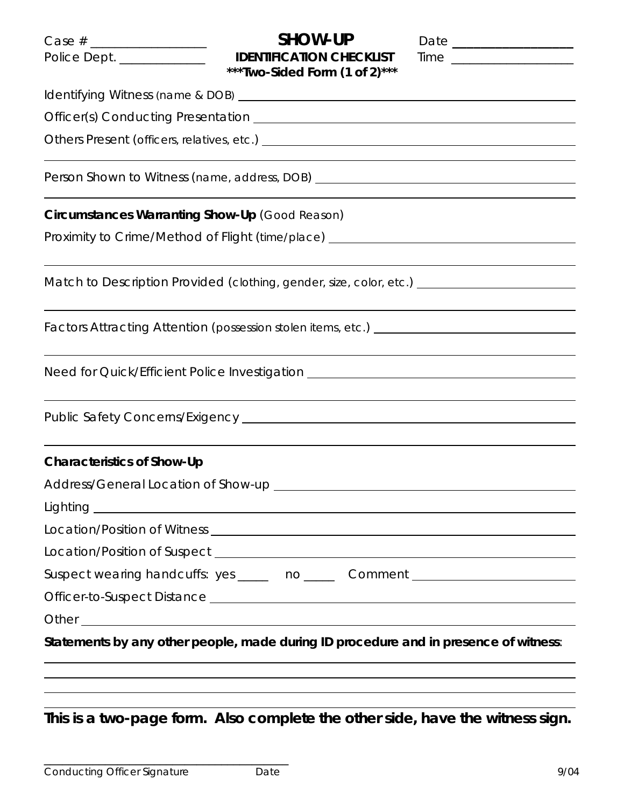| Police Dept. ____________                      | <b>SHOW-UP</b><br>***Two-Sided Form (1 of 2)***                                      |  |
|------------------------------------------------|--------------------------------------------------------------------------------------|--|
|                                                |                                                                                      |  |
|                                                | Officer(s) Conducting Presentation <b>Constanting</b> Presentation                   |  |
|                                                |                                                                                      |  |
|                                                | Person Shown to Witness (name, address, DOB) ___________________________________     |  |
| Circumstances Warranting Show-Up (Good Reason) |                                                                                      |  |
|                                                | Proximity to Crime/Method of Flight (time/place) _______________________________     |  |
|                                                |                                                                                      |  |
|                                                |                                                                                      |  |
|                                                |                                                                                      |  |
|                                                | Factors Attracting Attention (possession stolen items, etc.) ____________________    |  |
|                                                | Need for Quick/Efficient Police Investigation __________________________________     |  |
|                                                |                                                                                      |  |
| <b>Characteristics of Show-Up</b>              |                                                                                      |  |
|                                                |                                                                                      |  |
|                                                |                                                                                      |  |
|                                                |                                                                                      |  |
|                                                |                                                                                      |  |
|                                                | Suspect wearing handcuffs: yes _____ no _____ Comment __________________________     |  |
|                                                |                                                                                      |  |
|                                                |                                                                                      |  |
|                                                | Statements by any other people, made during ID procedure and in presence of witness: |  |

**This is a two-page form. Also complete the other side, have the witness sign.** 

\_\_\_\_\_\_\_\_\_\_\_\_\_\_\_\_\_\_\_\_\_\_\_\_\_\_\_\_\_\_\_\_\_\_\_\_\_\_\_\_